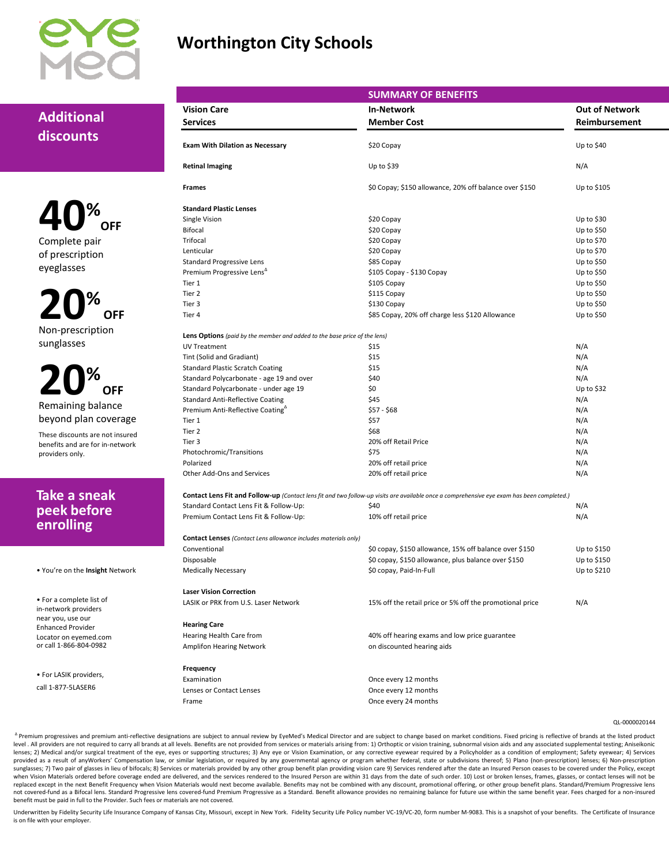

## **Worthington City Schools**

### **Additional discounts**

**40% OFF** Complete pair of prescription eyeglasses

**20% OFF** Non-prescription sunglasses

**20% OFF** Remaining balance beyond plan coverage

These discounts are not insured benefits and are for in-network providers only.

### **Take a sneak peek before enrolling**

• You're on the **Insight** Network

• For a complete list of in-network providers near you, use our Enhanced Provider Locator on eyemed.com or call 1-866-804-0982

• For LASIK providers,

call 1-877-5LASER6

|                                                                                  | <b>SUMMARY OF BENEFITS</b>                                                                                                                 |                       |
|----------------------------------------------------------------------------------|--------------------------------------------------------------------------------------------------------------------------------------------|-----------------------|
| <b>Vision Care</b>                                                               | <b>In-Network</b>                                                                                                                          | <b>Out of Network</b> |
| <b>Services</b>                                                                  | <b>Member Cost</b>                                                                                                                         | Reimbursement         |
|                                                                                  |                                                                                                                                            |                       |
| <b>Exam With Dilation as Necessary</b>                                           | \$20 Copay                                                                                                                                 | Up to \$40            |
| <b>Retinal Imaging</b>                                                           | Up to \$39                                                                                                                                 | N/A                   |
| <b>Frames</b>                                                                    | \$0 Copay; \$150 allowance, 20% off balance over \$150                                                                                     | Up to \$105           |
| <b>Standard Plastic Lenses</b>                                                   |                                                                                                                                            |                       |
| Single Vision                                                                    | \$20 Copay                                                                                                                                 | Up to $$30$           |
| <b>Bifocal</b>                                                                   | \$20 Copay                                                                                                                                 | Up to \$50            |
| Trifocal                                                                         | \$20 Copay                                                                                                                                 | Up to \$70            |
| Lenticular                                                                       | \$20 Copay                                                                                                                                 | Up to \$70            |
| <b>Standard Progressive Lens</b>                                                 | \$85 Copay                                                                                                                                 | Up to $$50$           |
| Premium Progressive Lens <sup>4</sup>                                            | \$105 Copay - \$130 Copay                                                                                                                  | Up to \$50            |
| Tier 1                                                                           | \$105 Copay                                                                                                                                | Up to $$50$           |
| Tier 2                                                                           | \$115 Copay                                                                                                                                | Up to \$50            |
| Tier 3                                                                           | \$130 Copay                                                                                                                                | Up to $$50$           |
| Tier 4                                                                           | \$85 Copay, 20% off charge less \$120 Allowance                                                                                            | Up to \$50            |
| <b>Lens Options</b> (paid by the member and added to the base price of the lens) |                                                                                                                                            |                       |
| <b>UV Treatment</b>                                                              | \$15                                                                                                                                       | N/A                   |
| Tint (Solid and Gradiant)                                                        | \$15                                                                                                                                       | N/A                   |
| <b>Standard Plastic Scratch Coating</b>                                          | \$15                                                                                                                                       | N/A                   |
| Standard Polycarbonate - age 19 and over                                         | \$40                                                                                                                                       | N/A                   |
| Standard Polycarbonate - under age 19                                            | \$0                                                                                                                                        | Up to $$32$           |
| <b>Standard Anti-Reflective Coating</b>                                          | \$45                                                                                                                                       | N/A                   |
| Premium Anti-Reflective Coating <sup>4</sup>                                     | $$57 - $68$                                                                                                                                | N/A                   |
| Tier 1                                                                           | \$57                                                                                                                                       | N/A                   |
| Tier 2                                                                           | \$68                                                                                                                                       | N/A                   |
| Tier 3                                                                           | 20% off Retail Price                                                                                                                       | N/A                   |
| Photochromic/Transitions                                                         | \$75                                                                                                                                       | N/A                   |
| Polarized                                                                        | 20% off retail price                                                                                                                       | N/A                   |
| Other Add-Ons and Services                                                       | 20% off retail price                                                                                                                       | N/A                   |
|                                                                                  | Contact Lens Fit and Follow-up (Contact lens fit and two follow-up visits are available once a comprehensive eye exam has been completed.) |                       |
| Standard Contact Lens Fit & Follow-Up:                                           | \$40                                                                                                                                       | N/A                   |
| Premium Contact Lens Fit & Follow-Up:                                            | 10% off retail price                                                                                                                       | N/A                   |
| <b>Contact Lenses</b> (Contact Lens allowance includes materials only)           |                                                                                                                                            |                       |
| Conventional                                                                     | \$0 copay, \$150 allowance, 15% off balance over \$150                                                                                     | Up to \$150           |
| Disposable                                                                       | \$0 copay, \$150 allowance, plus balance over \$150                                                                                        | Up to \$150           |
| <b>Medically Necessary</b>                                                       | \$0 copay, Paid-In-Full                                                                                                                    | Up to \$210           |
| <b>Laser Vision Correction</b>                                                   |                                                                                                                                            |                       |
| LASIK or PRK from U.S. Laser Network                                             | 15% off the retail price or 5% off the promotional price                                                                                   | N/A                   |
| <b>Hearing Care</b>                                                              |                                                                                                                                            |                       |
| Hearing Health Care from                                                         | 40% off hearing exams and low price guarantee                                                                                              |                       |
| <b>Amplifon Hearing Network</b>                                                  | on discounted hearing aids                                                                                                                 |                       |
| Frequency                                                                        |                                                                                                                                            |                       |
| Examination                                                                      | Once every 12 months                                                                                                                       |                       |
| Lenses or Contact Lenses                                                         | Once every 12 months                                                                                                                       |                       |
| Frame                                                                            | Once every 24 months                                                                                                                       |                       |

QL-0000020144

A Premium progressives and premium anti-reflective designations are subject to annual review by EyeMed's Medical Director and are subject to change based on market conditions. Fixed pricing is reflective of brands at the l exploration of the providers are not required to carry all brands at all levels. Benefits are not provided from services or materials arising from: 1) Orthoptic or vision training, subnormal vision aids and any associated lenses; 2) Medical and/or surgical treatment of the eye, eyes or supporting structures; 3) Any eye or Vision Examination, or any corrective eyewear required by a Policyholder as a condition of employment; Safety eyewear; 4 provided as a result of anyWorkers' Compensation law, or similar legislation, or required by any governmental agency or program whether federal, state or subdivisions thereof; 5) Plano (non-prescription) lenses; 6) Non-pre sunglasses; 7) Two pair of glasses in lieu of bifocals; 8) Services or materials provided by any other group benefit plan providing vision care 9) Services rendered after the date an Insured Person ceases to be covered und when Vision Materials ordered before coverage ended are delivered, and the services rendered to the Insured Person are within 31 days from the date of such order. 10) Lost or broken lenses, frames, glasses, or contact lens not covered-fund as a Bifocal lens. Standard Progressive lens covered-fund Premium Progressive as a Standard. Benefit allowance provides no remaining balance for future use within the same benefit year. Fees charged for a benefit must be paid in full to the Provider. Such fees or materials are not covered.

Underwritten by Fidelity Security Life Insurance Company of Kansas City, Missouri, except in New York. Fidelity Security Life Policy number VC-19/VC-20, form number M-9083. This is a snapshot of your benefits. The Certific is on file with your employer.